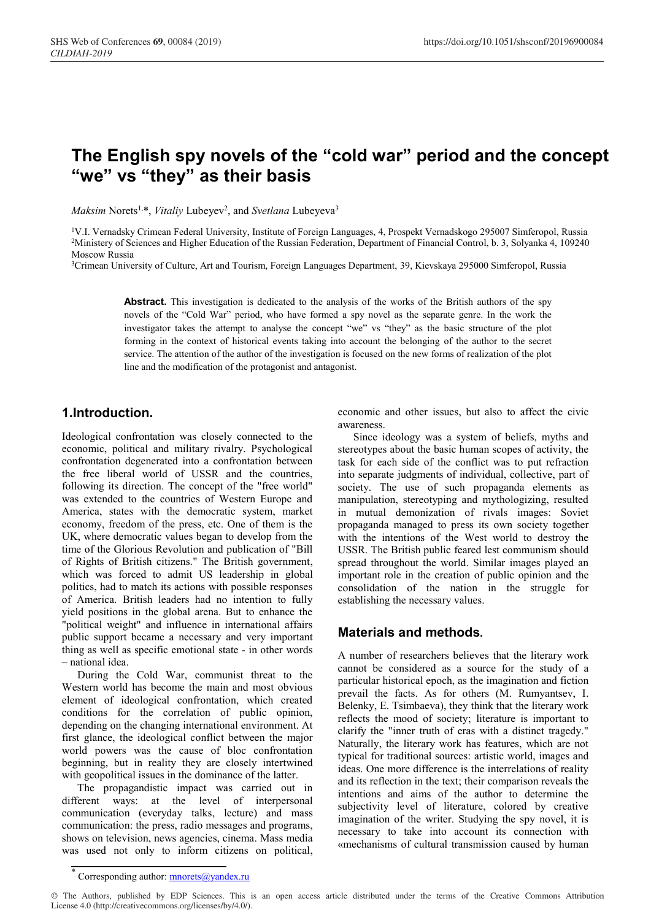# **The English spy novels of the "cold war" period and the concept "we" vs "they" as their basis**

*Maksim* Norets<sup>1,\*</sup>, *Vitaliy* Lubeyev<sup>2</sup>, and *Svetlana* Lubeyeva<sup>3</sup>

1V.I. Vernadsky Crimean Federal University, Institute of Foreign Languages, 4, Prospekt Vernadskogo 295007 Simferopol, Russia 2Ministery of Sciences and Higher Education of the Russian Federation, Department of Financial Control, b. 3, Solyanka 4, 109240 Moscow Russia

3Crimean University of Culture, Art and Tourism, Foreign Languages Department, 39, Kievskaya 295000 Simferopol, Russia

**Abstract.** This investigation is dedicated to the analysis of the works of the British authors of the spy novels of the "Cold War" period, who have formed a spy novel as the separate genre. In the work the investigator takes the attempt to analyse the concept "we" vs "they" as the basic structure of the plot forming in the context of historical events taking into account the belonging of the author to the secret service. The attention of the author of the investigation is focused on the new forms of realization of the plot line and the modification of the protagonist and antagonist.

#### **1.Introduction.**

Ideological confrontation was closely connected to the economic, political and military rivalry. Psychological confrontation degenerated into a confrontation between the free liberal world of USSR and the countries, following its direction. The concept of the "free world" was extended to the countries of Western Europe and America, states with the democratic system, market economy, freedom of the press, etc. One of them is the UK, where democratic values began to develop from the time of the Glorious Revolution and publication of "Bill of Rights of British citizens." The British government, which was forced to admit US leadership in global politics, had to match its actions with possible responses of America. British leaders had no intention to fully yield positions in the global arena. But to enhance the "political weight" and influence in international affairs public support became a necessary and very important thing as well as specific emotional state - in other words – national idea.

During the Cold War, communist threat to the Western world has become the main and most obvious element of ideological confrontation, which created conditions for the correlation of public opinion, depending on the changing international environment. At first glance, the ideological conflict between the major world powers was the cause of bloc confrontation beginning, but in reality they are closely intertwined with geopolitical issues in the dominance of the latter.

The propagandistic impact was carried out in different ways: at the level of interpersonal communication (everyday talks, lecture) and mass communication: the press, radio messages and programs, shows on television, news agencies, cinema. Mass media was used not only to inform citizens on political,

economic and other issues, but also to affect the civic awareness.

Since ideology was a system of beliefs, myths and stereotypes about the basic human scopes of activity, the task for each side of the conflict was to put refraction into separate judgments of individual, collective, part of society. The use of such propaganda elements as manipulation, stereotyping and mythologizing, resulted in mutual demonization of rivals images: Soviet propaganda managed to press its own society together with the intentions of the West world to destroy the USSR. The British public feared lest communism should spread throughout the world. Similar images played an important role in the creation of public opinion and the consolidation of the nation in the struggle for establishing the necessary values.

#### **Materials and methods.**

A number of researchers believes that the literary work cannot be considered as a source for the study of a particular historical epoch, as the imagination and fiction prevail the facts. As for others (M. Rumyantsev, I. Belenky, E. Tsimbaeva), they think that the literary work reflects the mood of society; literature is important to clarify the "inner truth of eras with a distinct tragedy." Naturally, the literary work has features, which are not typical for traditional sources: artistic world, images and ideas. One more difference is the interrelations of reality and its reflection in the text; their comparison reveals the intentions and aims of the author to determine the subjectivity level of literature, colored by creative imagination of the writer. Studying the spy novel, it is necessary to take into account its connection with «mechanisms of cultural transmission caused by human

© The Authors, published by EDP Sciences. This is an open access article distributed under the terms of the Creative Commons Attribution License 4.0 (http://creativecommons.org/licenses/by/4.0/).

Corresponding author: mnorets@yandex.ru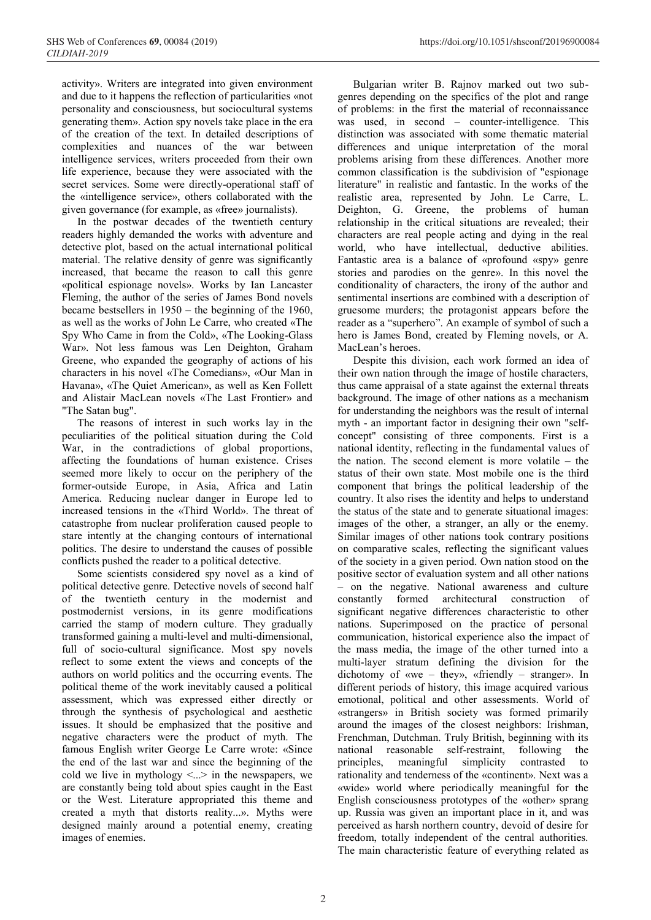activity». Writers are integrated into given environment and due to it happens the reflection of particularities «not personality and consciousness, but sociocultural systems generating them». Action spy novels take place in the era of the creation of the text. In detailed descriptions of complexities and nuances of the war between intelligence services, writers proceeded from their own life experience, because they were associated with the secret services. Some were directly-operational staff of the «intelligence service», others collaborated with the given governance (for example, as «free» journalists).

In the postwar decades of the twentieth century readers highly demanded the works with adventure and detective plot, based on the actual international political material. The relative density of genre was significantly increased, that became the reason to call this genre «political espionage novels». Works by Ian Lancaster Fleming, the author of the series of James Bond novels became bestsellers in 1950 – the beginning of the 1960, as well as the works of John Le Carre, who created «The Spy Who Came in from the Cold», «The Looking-Glass War». Not less famous was Len Deighton, Graham Greene, who expanded the geography of actions of his characters in his novel «The Comedians», «Our Man in Havana», «The Quiet American», as well as Ken Follett and Alistair MacLean novels «The Last Frontier» and "The Satan bug".

The reasons of interest in such works lay in the peculiarities of the political situation during the Cold War, in the contradictions of global proportions, affecting the foundations of human existence. Crises seemed more likely to occur on the periphery of the former-outside Europe, in Asia, Africa and Latin America. Reducing nuclear danger in Europe led to increased tensions in the «Third World». The threat of catastrophe from nuclear proliferation caused people to stare intently at the changing contours of international politics. The desire to understand the causes of possible conflicts pushed the reader to a political detective.

Some scientists considered spy novel as a kind of political detective genre. Detective novels of second half of the twentieth century in the modernist and postmodernist versions, in its genre modifications carried the stamp of modern culture. They gradually transformed gaining a multi-level and multi-dimensional, full of socio-cultural significance. Most spy novels reflect to some extent the views and concepts of the authors on world politics and the occurring events. The political theme of the work inevitably caused a political assessment, which was expressed either directly or through the synthesis of psychological and aesthetic issues. It should be emphasized that the positive and negative characters were the product of myth. The famous English writer George Le Carre wrote: «Since the end of the last war and since the beginning of the cold we live in mythology  $\leq$ ...> in the newspapers, we are constantly being told about spies caught in the East or the West. Literature appropriated this theme and created a myth that distorts reality...». Myths were designed mainly around a potential enemy, creating images of enemies.

Bulgarian writer B. Rajnov marked out two subgenres depending on the specifics of the plot and range of problems: in the first the material of reconnaissance was used, in second – counter-intelligence. This distinction was associated with some thematic material differences and unique interpretation of the moral problems arising from these differences. Another more common classification is the subdivision of "espionage literature" in realistic and fantastic. In the works of the realistic area, represented by John. Le Carre, L. Deighton, G. Greene, the problems of human relationship in the critical situations are revealed; their characters are real people acting and dying in the real world, who have intellectual, deductive abilities. Fantastic area is a balance of «profound «spy» genre stories and parodies on the genre». In this novel the conditionality of characters, the irony of the author and sentimental insertions are combined with a description of gruesome murders; the protagonist appears before the reader as a "superhero". An example of symbol of such a hero is James Bond, created by Fleming novels, or A. MacLean's heroes.

Despite this division, each work formed an idea of their own nation through the image of hostile characters, thus came appraisal of a state against the external threats background. The image of other nations as a mechanism for understanding the neighbors was the result of internal myth - an important factor in designing their own "selfconcept" consisting of three components. First is a national identity, reflecting in the fundamental values of the nation. The second element is more volatile – the status of their own state. Most mobile one is the third component that brings the political leadership of the country. It also rises the identity and helps to understand the status of the state and to generate situational images: images of the other, a stranger, an ally or the enemy. Similar images of other nations took contrary positions on comparative scales, reflecting the significant values of the society in a given period. Own nation stood on the positive sector of evaluation system and all other nations – on the negative. National awareness and culture constantly formed architectural construction of significant negative differences characteristic to other nations. Superimposed on the practice of personal communication, historical experience also the impact of the mass media, the image of the other turned into a multi-layer stratum defining the division for the dichotomy of «we – they», «friendly – stranger». In different periods of history, this image acquired various emotional, political and other assessments. World of «strangers» in British society was formed primarily around the images of the closest neighbors: Irishman, Frenchman, Dutchman. Truly British, beginning with its national reasonable self-restraint, following the principles, meaningful simplicity contrasted to rationality and tenderness of the «continent». Next was a «wide» world where periodically meaningful for the English consciousness prototypes of the «other» sprang up. Russia was given an important place in it, and was perceived as harsh northern country, devoid of desire for freedom, totally independent of the central authorities. The main characteristic feature of everything related as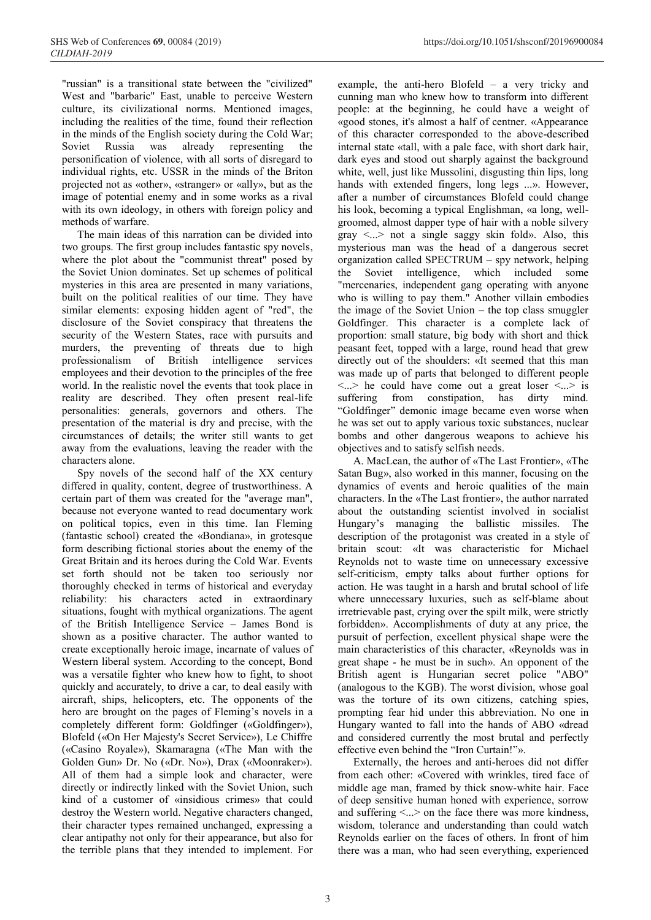"russian" is a transitional state between the "civilized" West and "barbaric" East, unable to perceive Western culture, its civilizational norms. Mentioned images, including the realities of the time, found their reflection in the minds of the English society during the Cold War; Soviet Russia was already representing the personification of violence, with all sorts of disregard to individual rights, etc. USSR in the minds of the Briton projected not as «other», «stranger» or «ally», but as the image of potential enemy and in some works as a rival with its own ideology, in others with foreign policy and methods of warfare.

The main ideas of this narration can be divided into two groups. The first group includes fantastic spy novels, where the plot about the "communist threat" posed by the Soviet Union dominates. Set up schemes of political mysteries in this area are presented in many variations, built on the political realities of our time. They have similar elements: exposing hidden agent of "red", the disclosure of the Soviet conspiracy that threatens the security of the Western States, race with pursuits and murders, the preventing of threats due to high professionalism of British intelligence services employees and their devotion to the principles of the free world. In the realistic novel the events that took place in reality are described. They often present real-life personalities: generals, governors and others. The presentation of the material is dry and precise, with the circumstances of details; the writer still wants to get away from the evaluations, leaving the reader with the characters alone.

Spy novels of the second half of the XX century differed in quality, content, degree of trustworthiness. A certain part of them was created for the "average man", because not everyone wanted to read documentary work on political topics, even in this time. Ian Fleming (fantastic school) created the «Bondiana», in grotesque form describing fictional stories about the enemy of the Great Britain and its heroes during the Cold War. Events set forth should not be taken too seriously nor thoroughly checked in terms of historical and everyday reliability: his characters acted in extraordinary situations, fought with mythical organizations. The agent of the British Intelligence Service – James Bond is shown as a positive character. The author wanted to create exceptionally heroic image, incarnate of values of Western liberal system. According to the concept, Bond was a versatile fighter who knew how to fight, to shoot quickly and accurately, to drive a car, to deal easily with aircraft, ships, helicopters, etc. The opponents of the hero are brought on the pages of Fleming's novels in a completely different form: Goldfinger («Goldfinger»), Blofeld («On Her Majesty's Secret Service»), Le Chiffre («Casino Royale»), Skamaragna («The Man with the Golden Gun» Dr. No («Dr. No»), Drax («Moonraker»). All of them had a simple look and character, were directly or indirectly linked with the Soviet Union, such kind of a customer of «insidious crimes» that could destroy the Western world. Negative characters changed, their character types remained unchanged, expressing a clear antipathy not only for their appearance, but also for the terrible plans that they intended to implement. For example, the anti-hero Blofeld – a very tricky and cunning man who knew how to transform into different people: at the beginning, he could have a weight of «good stones, it's almost a half of centner. «Appearance of this character corresponded to the above-described internal state «tall, with a pale face, with short dark hair, dark eyes and stood out sharply against the background white, well, just like Mussolini, disgusting thin lips, long hands with extended fingers, long legs ...». However, after a number of circumstances Blofeld could change his look, becoming a typical Englishman, «a long, wellgroomed, almost dapper type of hair with a noble silvery gray  $\leq$ ...> not a single saggy skin fold». Also, this mysterious man was the head of a dangerous secret organization called SPECTRUM – spy network, helping the Soviet intelligence, which included some "mercenaries, independent gang operating with anyone who is willing to pay them." Another villain embodies the image of the Soviet Union – the top class smuggler Goldfinger. This character is a complete lack of proportion: small stature, big body with short and thick peasant feet, topped with a large, round head that grew directly out of the shoulders: «It seemed that this man was made up of parts that belonged to different people  $\langle \cdot \rangle$  he could have come out a great loser  $\langle \cdot \rangle$  is suffering from constipation, has dirty mind. "Goldfinger" demonic image became even worse when he was set out to apply various toxic substances, nuclear bombs and other dangerous weapons to achieve his objectives and to satisfy selfish needs.

A. MacLean, the author of «The Last Frontier», «The Satan Bug», also worked in this manner, focusing on the dynamics of events and heroic qualities of the main characters. In the «The Last frontier», the author narrated about the outstanding scientist involved in socialist Hungary's managing the ballistic missiles. The description of the protagonist was created in a style of britain scout: «It was characteristic for Michael Reynolds not to waste time on unnecessary excessive self-criticism, empty talks about further options for action. He was taught in a harsh and brutal school of life where unnecessary luxuries, such as self-blame about irretrievable past, crying over the spilt milk, were strictly forbidden». Accomplishments of duty at any price, the pursuit of perfection, excellent physical shape were the main characteristics of this character, «Reynolds was in great shape - he must be in such». An opponent of the British agent is Hungarian secret police "ABO" (analogous to the KGB). The worst division, whose goal was the torture of its own citizens, catching spies, prompting fear hid under this abbreviation. No one in Hungary wanted to fall into the hands of ABO «dread and considered currently the most brutal and perfectly effective even behind the "Iron Curtain!"».

Externally, the heroes and anti-heroes did not differ from each other: «Covered with wrinkles, tired face of middle age man, framed by thick snow-white hair. Face of deep sensitive human honed with experience, sorrow and suffering  $\langle \ldots \rangle$  on the face there was more kindness, wisdom, tolerance and understanding than could watch Reynolds earlier on the faces of others. In front of him there was a man, who had seen everything, experienced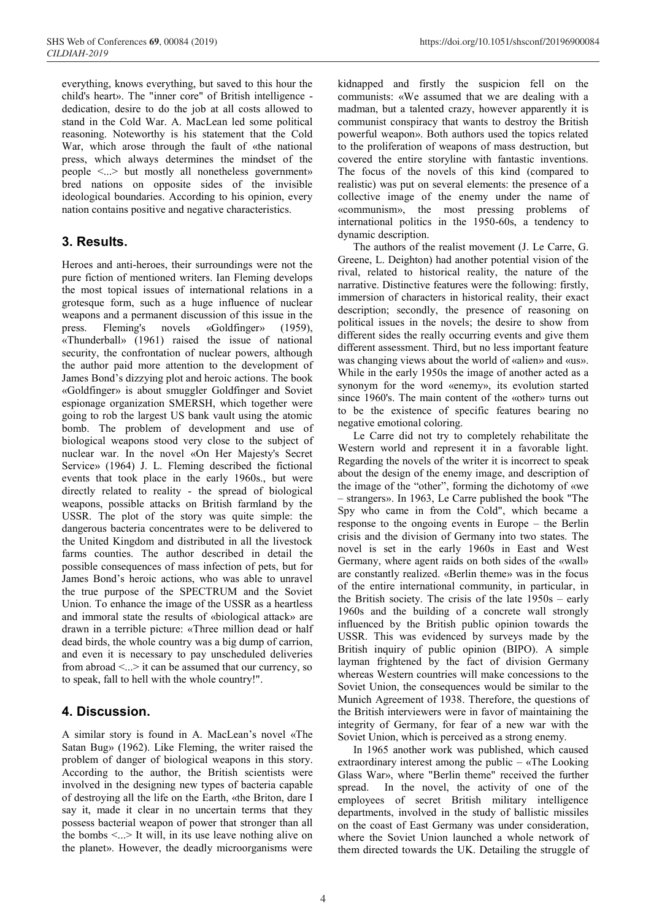everything, knows everything, but saved to this hour the child's heart». The "inner core" of British intelligence dedication, desire to do the job at all costs allowed to stand in the Cold War. A. MacLean led some political reasoning. Noteworthy is his statement that the Cold War, which arose through the fault of «the national press, which always determines the mindset of the people <...> but mostly all nonetheless government» bred nations on opposite sides of the invisible ideological boundaries. According to his opinion, every nation contains positive and negative characteristics.

### **3. Results.**

Heroes and anti-heroes, their surroundings were not the pure fiction of mentioned writers. Ian Fleming develops the most topical issues of international relations in a grotesque form, such as a huge influence of nuclear weapons and a permanent discussion of this issue in the press. Fleming's novels «Goldfinger» (1959), «Thunderball» (1961) raised the issue of national security, the confrontation of nuclear powers, although the author paid more attention to the development of James Bond's dizzying plot and heroic actions. The book «Goldfinger» is about smuggler Goldfinger and Soviet espionage organization SMERSH, which together were going to rob the largest US bank vault using the atomic bomb. The problem of development and use of biological weapons stood very close to the subject of nuclear war. In the novel «On Her Majesty's Secret Service» (1964) J. L. Fleming described the fictional events that took place in the early 1960s., but were directly related to reality - the spread of biological weapons, possible attacks on British farmland by the USSR. The plot of the story was quite simple: the dangerous bacteria concentrates were to be delivered to the United Kingdom and distributed in all the livestock farms counties. The author described in detail the possible consequences of mass infection of pets, but for James Bond's heroic actions, who was able to unravel the true purpose of the SPECTRUM and the Soviet Union. To enhance the image of the USSR as a heartless and immoral state the results of «biological attack» are drawn in a terrible picture: «Three million dead or half dead birds, the whole country was a big dump of carrion, and even it is necessary to pay unscheduled deliveries from abroad <...> it can be assumed that our currency, so to speak, fall to hell with the whole country!".

## **4. Discussion.**

A similar story is found in A. MacLean's novel «The Satan Bug» (1962). Like Fleming, the writer raised the problem of danger of biological weapons in this story. According to the author, the British scientists were involved in the designing new types of bacteria capable of destroying all the life on the Earth, «the Briton, dare I say it, made it clear in no uncertain terms that they possess bacterial weapon of power that stronger than all the bombs  $\leq$ ...> It will, in its use leave nothing alive on the planet». However, the deadly microorganisms were

kidnapped and firstly the suspicion fell on the communists: «We assumed that we are dealing with a madman, but a talented crazy, however apparently it is communist conspiracy that wants to destroy the British powerful weapon». Both authors used the topics related to the proliferation of weapons of mass destruction, but covered the entire storyline with fantastic inventions. The focus of the novels of this kind (compared to realistic) was put on several elements: the presence of a collective image of the enemy under the name of «communism», the most pressing problems of international politics in the 1950-60s, a tendency to dynamic description.

The authors of the realist movement (J. Le Carre, G. Greene, L. Deighton) had another potential vision of the rival, related to historical reality, the nature of the narrative. Distinctive features were the following: firstly, immersion of characters in historical reality, their exact description; secondly, the presence of reasoning on political issues in the novels; the desire to show from different sides the really occurring events and give them different assessment. Third, but no less important feature was changing views about the world of «alien» and «us». While in the early 1950s the image of another acted as a synonym for the word «enemy», its evolution started since 1960's. The main content of the «other» turns out to be the existence of specific features bearing no negative emotional coloring.

Le Carre did not try to completely rehabilitate the Western world and represent it in a favorable light. Regarding the novels of the writer it is incorrect to speak about the design of the enemy image, and description of the image of the "other", forming the dichotomy of «we – strangers». In 1963, Le Carre published the book "The Spy who came in from the Cold", which became a response to the ongoing events in Europe – the Berlin crisis and the division of Germany into two states. The novel is set in the early 1960s in East and West Germany, where agent raids on both sides of the «wall» are constantly realized. «Berlin theme» was in the focus of the entire international community, in particular, in the British society. The crisis of the late 1950s – early 1960s and the building of a concrete wall strongly influenced by the British public opinion towards the USSR. This was evidenced by surveys made by the British inquiry of public opinion (BIPO). A simple layman frightened by the fact of division Germany whereas Western countries will make concessions to the Soviet Union, the consequences would be similar to the Munich Agreement of 1938. Therefore, the questions of the British interviewers were in favor of maintaining the integrity of Germany, for fear of a new war with the Soviet Union, which is perceived as a strong enemy.

In 1965 another work was published, which caused extraordinary interest among the public – «The Looking Glass War», where "Berlin theme" received the further spread. In the novel, the activity of one of the employees of secret British military intelligence departments, involved in the study of ballistic missiles on the coast of East Germany was under consideration, where the Soviet Union launched a whole network of them directed towards the UK. Detailing the struggle of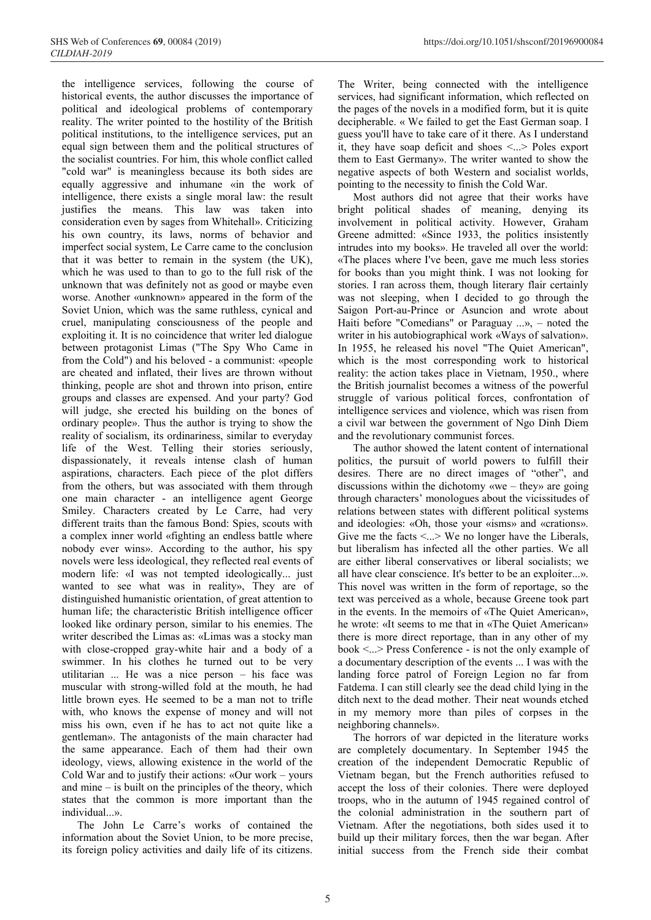the intelligence services, following the course of historical events, the author discusses the importance of political and ideological problems of contemporary reality. The writer pointed to the hostility of the British political institutions, to the intelligence services, put an equal sign between them and the political structures of the socialist countries. For him, this whole conflict called "cold war" is meaningless because its both sides are equally aggressive and inhumane «in the work of intelligence, there exists a single moral law: the result justifies the means. This law was taken into consideration even by sages from Whitehall». Criticizing his own country, its laws, norms of behavior and imperfect social system, Le Carre came to the conclusion that it was better to remain in the system (the UK), which he was used to than to go to the full risk of the unknown that was definitely not as good or maybe even worse. Another «unknown» appeared in the form of the Soviet Union, which was the same ruthless, cynical and cruel, manipulating consciousness of the people and exploiting it. It is no coincidence that writer led dialogue between protagonist Limas ("The Spy Who Came in from the Cold") and his beloved - a communist: «people are cheated and inflated, their lives are thrown without thinking, people are shot and thrown into prison, entire groups and classes are expensed. And your party? God will judge, she erected his building on the bones of ordinary people». Thus the author is trying to show the reality of socialism, its ordinariness, similar to everyday life of the West. Telling their stories seriously, dispassionately, it reveals intense clash of human aspirations, characters. Each piece of the plot differs from the others, but was associated with them through one main character - an intelligence agent George Smiley. Characters created by Le Carre, had very different traits than the famous Bond: Spies, scouts with a complex inner world «fighting an endless battle where nobody ever wins». According to the author, his spy novels were less ideological, they reflected real events of modern life: «I was not tempted ideologically... just wanted to see what was in reality», They are of distinguished humanistic orientation, of great attention to human life; the characteristic British intelligence officer looked like ordinary person, similar to his enemies. The writer described the Limas as: «Limas was a stocky man with close-cropped gray-white hair and a body of a swimmer. In his clothes he turned out to be very utilitarian ... He was a nice person – his face was muscular with strong-willed fold at the mouth, he had little brown eyes. He seemed to be a man not to trifle with, who knows the expense of money and will not miss his own, even if he has to act not quite like a gentleman». The antagonists of the main character had the same appearance. Each of them had their own ideology, views, allowing existence in the world of the Cold War and to justify their actions: «Our work – yours and mine – is built on the principles of the theory, which states that the common is more important than the individual...».

The John Le Carre's works of contained the information about the Soviet Union, to be more precise, its foreign policy activities and daily life of its citizens.

The Writer, being connected with the intelligence services, had significant information, which reflected on the pages of the novels in a modified form, but it is quite decipherable. « We failed to get the East German soap. I guess you'll have to take care of it there. As I understand it, they have soap deficit and shoes <...> Poles export them to East Germany». The writer wanted to show the negative aspects of both Western and socialist worlds, pointing to the necessity to finish the Cold War.

Most authors did not agree that their works have bright political shades of meaning, denying its involvement in political activity. However, Graham Greene admitted: «Since 1933, the politics insistently intrudes into my books». He traveled all over the world: «The places where I've been, gave me much less stories for books than you might think. I was not looking for stories. I ran across them, though literary flair certainly was not sleeping, when I decided to go through the Saigon Port-au-Prince or Asuncion and wrote about Haiti before "Comedians" or Paraguay ...», – noted the writer in his autobiographical work «Ways of salvation». In 1955, he released his novel "The Quiet American", which is the most corresponding work to historical reality: the action takes place in Vietnam, 1950., where the British journalist becomes a witness of the powerful struggle of various political forces, confrontation of intelligence services and violence, which was risen from a civil war between the government of Ngo Dinh Diem and the revolutionary communist forces.

The author showed the latent content of international politics, the pursuit of world powers to fulfill their desires. There are no direct images of "other", and discussions within the dichotomy «we – they» are going through characters' monologues about the vicissitudes of relations between states with different political systems and ideologies: «Oh, those your «isms» and «crations». Give me the facts  $\leq$ ...> We no longer have the Liberals, but liberalism has infected all the other parties. We all are either liberal conservatives or liberal socialists; we all have clear conscience. It's better to be an exploiter...». This novel was written in the form of reportage, so the text was perceived as a whole, because Greene took part in the events. In the memoirs of «The Quiet American», he wrote: «It seems to me that in «The Quiet American» there is more direct reportage, than in any other of my book <...> Press Conference - is not the only example of a documentary description of the events ... I was with the landing force patrol of Foreign Legion no far from Fatdema. I can still clearly see the dead child lying in the ditch next to the dead mother. Their neat wounds etched in my memory more than piles of corpses in the neighboring channels».

The horrors of war depicted in the literature works are completely documentary. In September 1945 the creation of the independent Democratic Republic of Vietnam began, but the French authorities refused to accept the loss of their colonies. There were deployed troops, who in the autumn of 1945 regained control of the colonial administration in the southern part of Vietnam. After the negotiations, both sides used it to build up their military forces, then the war began. After initial success from the French side their combat